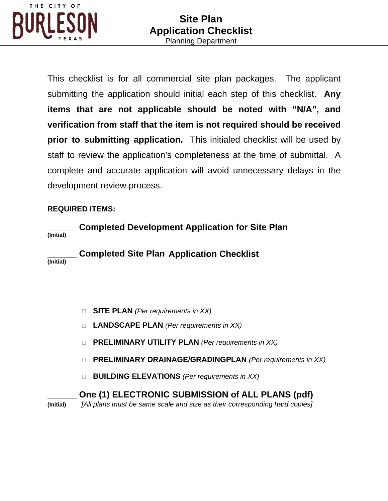

This checklist is for all commercial site plan packages. The applicant submitting the application should initial each step of this checklist. **Any items that are not applicable should be noted with "N/A", and verification from staff that the item is not required should be received prior to submitting application.** This initialed checklist will be used by staff to review the application's completeness at the time of submittal. A complete and accurate application will avoid unnecessary delays in the development review process.

## **REQUIRED ITEMS:**

**\_\_\_\_\_\_\_ Completed Development Application for Site Plan (Initial)**

**\_\_\_\_\_\_\_ Completed Site Plan Application Checklist (Initial)**

- **SITE PLAN** *(Per requirements in XX)*
- **LANDSCAPE PLAN** *(Per requirements in XX)*
- **PRELIMINARY UTILITY PLAN** *(Per requirements in XX)*
- **PRELIMINARY DRAINAGE/GRADINGPLAN** *(Per requirements in XX)*
- **BUILDING ELEVATIONS** *(Per requirements in XX)*

# **\_\_\_\_\_\_\_ One (1) ELECTRONIC SUBMISSION of ALL PLANS (pdf)**

**(Initial)** *[All plans must be same scale and size as their corresponding hard copies]*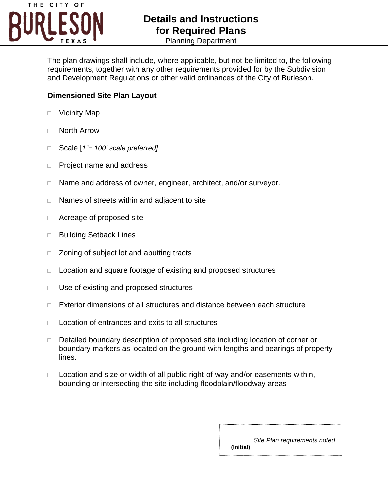

# **Details and Instructions for Required Plans**

Planning Department

The plan drawings shall include, where applicable, but not be limited to, the following requirements, together with any other requirements provided for by the Subdivision and Development Regulations or other valid ordinances of the City of Burleson.

#### **Dimensioned Site Plan Layout**

- □ Vicinity Map
- North Arrow
- Scale [*1"= 100' scale preferred]*
- □ Project name and address
- □ Name and address of owner, engineer, architect, and/or surveyor.
- $\Box$  Names of streets within and adjacent to site
- □ Acreage of proposed site
- □ Building Setback Lines
- □ Zoning of subject lot and abutting tracts
- □ Location and square footage of existing and proposed structures
- □ Use of existing and proposed structures
- □ Exterior dimensions of all structures and distance between each structure
- $\Box$  Location of entrances and exits to all structures
- Detailed boundary description of proposed site including location of corner or boundary markers as located on the ground with lengths and bearings of property lines.
- $\Box$  Location and size or width of all public right-of-way and/or easements within, bounding or intersecting the site including floodplain/floodway areas

|           | Site Plan requirements noted |
|-----------|------------------------------|
| (Initial) |                              |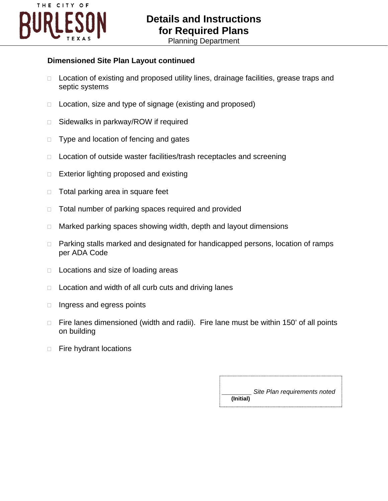

#### **Dimensioned Site Plan Layout continued**

- □ Location of existing and proposed utility lines, drainage facilities, grease traps and septic systems
- □ Location, size and type of signage (existing and proposed)
- □ Sidewalks in parkway/ROW if required
- □ Type and location of fencing and gates
- □ Location of outside waster facilities/trash receptacles and screening
- $\Box$  Exterior lighting proposed and existing
- $\Box$  Total parking area in square feet
- □ Total number of parking spaces required and provided
- □ Marked parking spaces showing width, depth and layout dimensions
- □ Parking stalls marked and designated for handicapped persons, location of ramps per ADA Code
- $\Box$  Locations and size of loading areas
- $\Box$  Location and width of all curb cuts and driving lanes
- $\Box$  Ingress and egress points
- $\Box$  Fire lanes dimensioned (width and radii). Fire lane must be within 150' of all points on building
- $\Box$  Fire hydrant locations

**\_\_\_\_\_\_\_** *Site Plan requirements noted*   **(Initial)**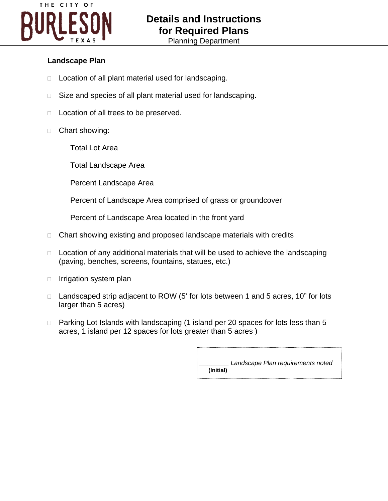

#### **Landscape Plan**

- $\Box$  Location of all plant material used for landscaping.
- □ Size and species of all plant material used for landscaping.
- $\Box$  Location of all trees to be preserved.
- □ Chart showing:
	- Total Lot Area
	- Total Landscape Area
	- Percent Landscape Area
	- Percent of Landscape Area comprised of grass or groundcover
	- Percent of Landscape Area located in the front yard
- $\Box$  Chart showing existing and proposed landscape materials with credits
- $\Box$  Location of any additional materials that will be used to achieve the landscaping (paving, benches, screens, fountains, statues, etc.)
- $\Box$  Irrigation system plan
- □ Landscaped strip adjacent to ROW (5' for lots between 1 and 5 acres, 10" for lots larger than 5 acres)
- □ Parking Lot Islands with landscaping (1 island per 20 spaces for lots less than 5 acres, 1 island per 12 spaces for lots greater than 5 acres )

**\_\_\_\_\_\_\_** *Landscape Plan requirements noted*   **(Initial)**